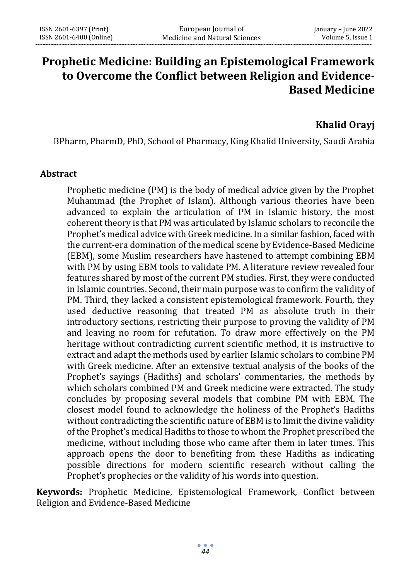# **Prophetic Medicine: Building an Epistemological Framework to Overcome the Conflict between Religion and Evidence-Based Medicine**

# **Khalid Orayj**

BPharm, PharmD, PhD, School of Pharmacy, King Khalid University, Saudi Arabia

#### **Abstract**

Prophetic medicine (PM) is the body of medical advice given by the Prophet Muhammad (the Prophet of Islam). Although various theories have been advanced to explain the articulation of PM in Islamic history, the most coherent theory is that PM was articulated by Islamic scholars to reconcile the Prophet's medical advice with Greek medicine. In a similar fashion, faced with the current-era domination of the medical scene by Evidence-Based Medicine (EBM), some Muslim researchers have hastened to attempt combining EBM with PM by using EBM tools to validate PM. A literature review revealed four features shared by most of the current PM studies. First, they were conducted in Islamic countries. Second, their main purpose was to confirm the validity of PM. Third, they lacked a consistent epistemological framework. Fourth, they used deductive reasoning that treated PM as absolute truth in their introductory sections, restricting their purpose to proving the validity of PM and leaving no room for refutation. To draw more effectively on the PM heritage without contradicting current scientific method, it is instructive to extract and adapt the methods used by earlier Islamic scholars to combine PM with Greek medicine. After an extensive textual analysis of the books of the Prophet's sayings (Hadiths) and scholars' commentaries, the methods by which scholars combined PM and Greek medicine were extracted. The study concludes by proposing several models that combine PM with EBM. The closest model found to acknowledge the holiness of the Prophet's Hadiths without contradicting the scientific nature of EBM is to limit the divine validity of the Prophet's medical Hadiths to those to whom the Prophet prescribed the medicine, without including those who came after them in later times. This approach opens the door to benefiting from these Hadiths as indicating possible directions for modern scientific research without calling the Prophet's prophecies or the validity of his words into question.

**Keywords:** Prophetic Medicine, Epistemological Framework, Conflict between Religion and Evidence-Based Medicine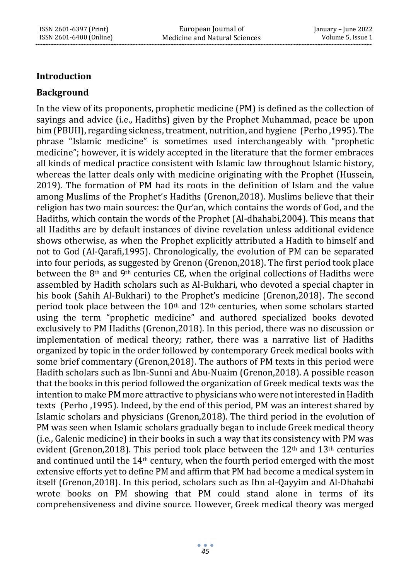#### **Introduction**

#### **Background**

In the view of its proponents, prophetic medicine (PM) is defined as the collection of sayings and advice (i.e., Hadiths) given by the Prophet Muhammad, peace be upon him (PBUH), regarding sickness, treatment, nutrition, and hygiene (Perho ,1995). The phrase "Islamic medicine" is sometimes used interchangeably with "prophetic medicine"; however, it is widely accepted in the literature that the former embraces all kinds of medical practice consistent with Islamic law throughout Islamic history, whereas the latter deals only with medicine originating with the Prophet (Hussein, 2019). The formation of PM had its roots in the definition of Islam and the value among Muslims of the Prophet's Hadiths (Grenon,2018). Muslims believe that their religion has two main sources: the Qur'an, which contains the words of God, and the Hadiths, which contain the words of the Prophet (Al-dhahabi,2004). This means that all Hadiths are by default instances of divine revelation unless additional evidence shows otherwise, as when the Prophet explicitly attributed a Hadith to himself and not to God (Al-Qarafi,1995). Chronologically, the evolution of PM can be separated into four periods, as suggested by Grenon (Grenon,2018). The first period took place between the 8<sup>th</sup> and 9<sup>th</sup> centuries CE, when the original collections of Hadiths were assembled by Hadith scholars such as Al-Bukhari, who devoted a special chapter in his book (Sahih Al-Bukhari) to the Prophet's medicine (Grenon,2018). The second period took place between the  $10<sup>th</sup>$  and  $12<sup>th</sup>$  centuries, when some scholars started using the term "prophetic medicine" and authored specialized books devoted exclusively to PM Hadiths (Grenon,2018). In this period, there was no discussion or implementation of medical theory; rather, there was a narrative list of Hadiths organized by topic in the order followed by contemporary Greek medical books with some brief commentary (Grenon,2018). The authors of PM texts in this period were Hadith scholars such as Ibn-Sunni and Abu-Nuaim (Grenon,2018). A possible reason that the books in this period followed the organization of Greek medical texts was the intention to make PM more attractive to physicians who were not interested in Hadith texts (Perho ,1995). Indeed, by the end of this period, PM was an interest shared by Islamic scholars and physicians (Grenon,2018). The third period in the evolution of PM was seen when Islamic scholars gradually began to include Greek medical theory (i.e., Galenic medicine) in their books in such a way that its consistency with PM was evident (Grenon, 2018). This period took place between the  $12<sup>th</sup>$  and  $13<sup>th</sup>$  centuries and continued until the  $14<sup>th</sup>$  century, when the fourth period emerged with the most extensive efforts yet to define PM and affirm that PM had become a medical system in itself (Grenon,2018). In this period, scholars such as Ibn al-Qayyim and Al-Dhahabi wrote books on PM showing that PM could stand alone in terms of its comprehensiveness and divine source. However, Greek medical theory was merged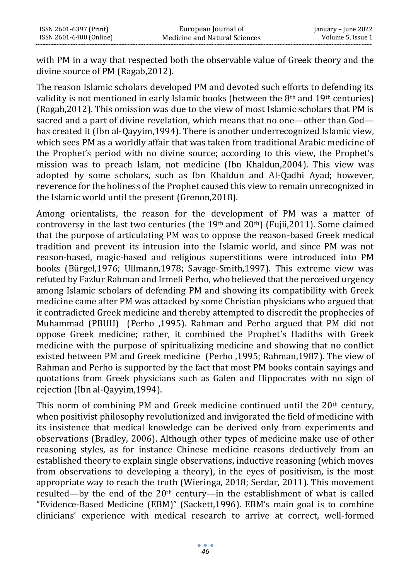with PM in a way that respected both the observable value of Greek theory and the divine source of PM (Ragab,2012).

The reason Islamic scholars developed PM and devoted such efforts to defending its validity is not mentioned in early Islamic books (between the  $8<sup>th</sup>$  and  $19<sup>th</sup>$  centuries) (Ragab,2012). This omission was due to the view of most Islamic scholars that PM is sacred and a part of divine revelation, which means that no one—other than God has created it (Ibn al-Qayyim,1994). There is another underrecognized Islamic view, which sees PM as a worldly affair that was taken from traditional Arabic medicine of the Prophet's period with no divine source; according to this view, the Prophet's mission was to preach Islam, not medicine (Ibn Khaldun,2004). This view was adopted by some scholars, such as Ibn Khaldun and Al-Qadhi Ayad; however, reverence for the holiness of the Prophet caused this view to remain unrecognized in the Islamic world until the present (Grenon,2018).

Among orientalists, the reason for the development of PM was a matter of controversy in the last two centuries (the 19th and 20th) (Fujii, 2011). Some claimed that the purpose of articulating PM was to oppose the reason-based Greek medical tradition and prevent its intrusion into the Islamic world, and since PM was not reason-based, magic-based and religious superstitions were introduced into PM books (Bürgel,1976; Ullmann,1978; Savage-Smith,1997). This extreme view was refuted by Fazlur Rahman and Irmeli Perho, who believed that the perceived urgency among Islamic scholars of defending PM and showing its compatibility with Greek medicine came after PM was attacked by some Christian physicians who argued that it contradicted Greek medicine and thereby attempted to discredit the prophecies of Muhammad (PBUH) (Perho ,1995). Rahman and Perho argued that PM did not oppose Greek medicine; rather, it combined the Prophet's Hadiths with Greek medicine with the purpose of spiritualizing medicine and showing that no conflict existed between PM and Greek medicine (Perho ,1995; Rahman,1987). The view of Rahman and Perho is supported by the fact that most PM books contain sayings and quotations from Greek physicians such as Galen and Hippocrates with no sign of rejection (Ibn al-Qayyim,1994).

This norm of combining PM and Greek medicine continued until the  $20<sup>th</sup>$  century, when positivist philosophy revolutionized and invigorated the field of medicine with its insistence that medical knowledge can be derived only from experiments and observations (Bradley, 2006). Although other types of medicine make use of other reasoning styles, as for instance Chinese medicine reasons deductively from an established theory to explain single observations, inductive reasoning (which moves from observations to developing a theory), in the eyes of positivism, is the most appropriate way to reach the truth (Wieringa, 2018; Serdar, 2011). This movement resulted—by the end of the  $20<sup>th</sup>$  century—in the establishment of what is called "Evidence-Based Medicine (EBM)" (Sackett,1996). EBM's main goal is to combine clinicians' experience with medical research to arrive at correct, well-formed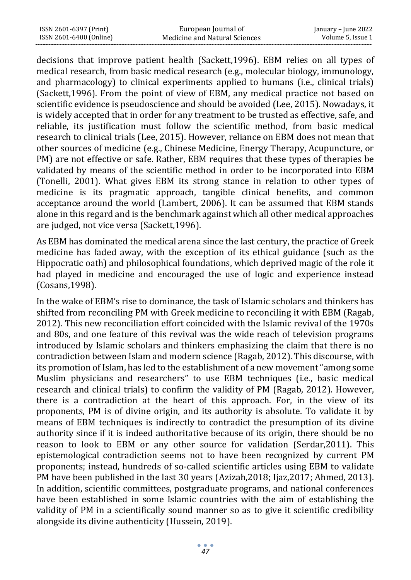| ISSN 2601-6397 (Print)  | European Journal of           | January – June 2022 |
|-------------------------|-------------------------------|---------------------|
| ISSN 2601-6400 (Online) | Medicine and Natural Sciences | Volume 5, Issue 1   |

decisions that improve patient health (Sackett,1996). EBM relies on all types of medical research, from basic medical research (e.g., molecular biology, immunology, and pharmacology) to clinical experiments applied to humans (i.e., clinical trials) (Sackett,1996). From the point of view of EBM, any medical practice not based on scientific evidence is pseudoscience and should be avoided (Lee, 2015). Nowadays, it is widely accepted that in order for any treatment to be trusted as effective, safe, and reliable, its justification must follow the scientific method, from basic medical research to clinical trials (Lee, 2015). However, reliance on EBM does not mean that other sources of medicine (e.g., Chinese Medicine, Energy Therapy, Acupuncture, or PM) are not effective or safe. Rather, EBM requires that these types of therapies be validated by means of the scientific method in order to be incorporated into EBM (Tonelli, 2001). What gives EBM its strong stance in relation to other types of medicine is its pragmatic approach, tangible clinical benefits, and common acceptance around the world (Lambert, 2006). It can be assumed that EBM stands alone in this regard and is the benchmark against which all other medical approaches are judged, not vice versa (Sackett,1996).

As EBM has dominated the medical arena since the last century, the practice of Greek medicine has faded away, with the exception of its ethical guidance (such as the Hippocratic oath) and philosophical foundations, which deprived magic of the role it had played in medicine and encouraged the use of logic and experience instead (Cosans,1998).

In the wake of EBM's rise to dominance, the task of Islamic scholars and thinkers has shifted from reconciling PM with Greek medicine to reconciling it with EBM (Ragab, 2012). This new reconciliation effort coincided with the Islamic revival of the 1970s and 80s, and one feature of this revival was the wide reach of television programs introduced by Islamic scholars and thinkers emphasizing the claim that there is no contradiction between Islam and modern science (Ragab, 2012). This discourse, with its promotion of Islam, has led to the establishment of a new movement "among some Muslim physicians and researchers" to use EBM techniques (i.e., basic medical research and clinical trials) to confirm the validity of PM (Ragab, 2012). However, there is a contradiction at the heart of this approach. For, in the view of its proponents, PM is of divine origin, and its authority is absolute. To validate it by means of EBM techniques is indirectly to contradict the presumption of its divine authority since if it is indeed authoritative because of its origin, there should be no reason to look to EBM or any other source for validation (Serdar,2011). This epistemological contradiction seems not to have been recognized by current PM proponents; instead, hundreds of so-called scientific articles using EBM to validate PM have been published in the last 30 years (Azizah,2018; Ijaz,2017; Ahmed, 2013). In addition, scientific committees, postgraduate programs, and national conferences have been established in some Islamic countries with the aim of establishing the validity of PM in a scientifically sound manner so as to give it scientific credibility alongside its divine authenticity (Hussein, 2019).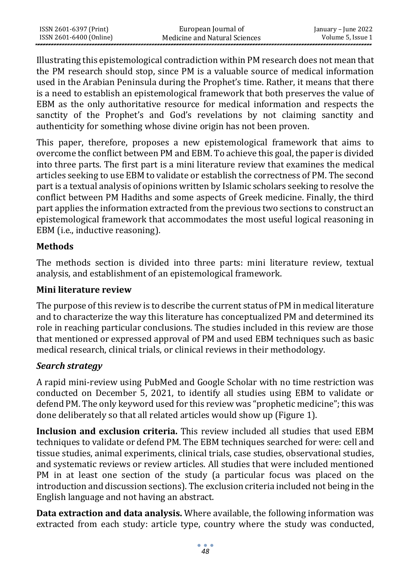| ISSN 2601-6397 (Print)  | European Journal of           | January – June 2022 |
|-------------------------|-------------------------------|---------------------|
| ISSN 2601-6400 (Online) | Medicine and Natural Sciences | Volume 5. Issue 1   |

Illustrating this epistemological contradiction within PM research does not mean that the PM research should stop, since PM is a valuable source of medical information used in the Arabian Peninsula during the Prophet's time. Rather, it means that there is a need to establish an epistemological framework that both preserves the value of EBM as the only authoritative resource for medical information and respects the sanctity of the Prophet's and God's revelations by not claiming sanctity and authenticity for something whose divine origin has not been proven.

This paper, therefore, proposes a new epistemological framework that aims to overcome the conflict between PM and EBM. To achieve this goal, the paper is divided into three parts. The first part is a mini literature review that examines the medical articles seeking to use EBM to validate or establish the correctness of PM. The second part is a textual analysis of opinions written by Islamic scholars seeking to resolve the conflict between PM Hadiths and some aspects of Greek medicine. Finally, the third part applies the information extracted from the previous two sections to construct an epistemological framework that accommodates the most useful logical reasoning in EBM (i.e., inductive reasoning).

#### **Methods**

The methods section is divided into three parts: mini literature review, textual analysis, and establishment of an epistemological framework.

#### **Mini literature review**

The purpose of this review is to describe the current status of PM in medical literature and to characterize the way this literature has conceptualized PM and determined its role in reaching particular conclusions. The studies included in this review are those that mentioned or expressed approval of PM and used EBM techniques such as basic medical research, clinical trials, or clinical reviews in their methodology.

#### *Search strategy*

A rapid mini-review using PubMed and Google Scholar with no time restriction was conducted on December 5, 2021, to identify all studies using EBM to validate or defend PM. The only keyword used for this review was "prophetic medicine"; this was done deliberately so that all related articles would show up (Figure 1).

**Inclusion and exclusion criteria.** This review included all studies that used EBM techniques to validate or defend PM. The EBM techniques searched for were: cell and tissue studies, animal experiments, clinical trials, case studies, observational studies, and systematic reviews or review articles. All studies that were included mentioned PM in at least one section of the study (a particular focus was placed on the introduction and discussion sections). The exclusion criteria included not being in the English language and not having an abstract.

**Data extraction and data analysis.** Where available, the following information was extracted from each study: article type, country where the study was conducted,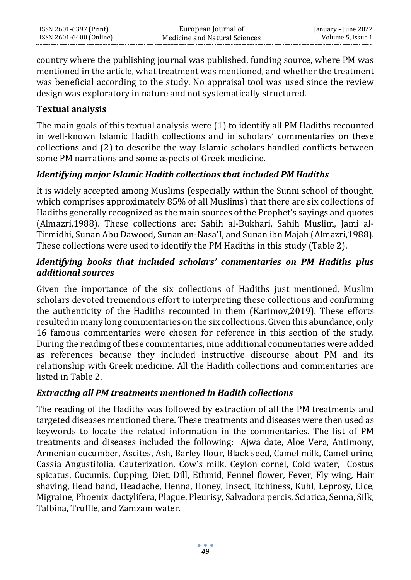country where the publishing journal was published, funding source, where PM was mentioned in the article, what treatment was mentioned, and whether the treatment was beneficial according to the study. No appraisal tool was used since the review design was exploratory in nature and not systematically structured.

### **Textual analysis**

The main goals of this textual analysis were (1) to identify all PM Hadiths recounted in well-known Islamic Hadith collections and in scholars' commentaries on these collections and (2) to describe the way Islamic scholars handled conflicts between some PM narrations and some aspects of Greek medicine.

# *Identifying major Islamic Hadith collections that included PM Hadiths*

It is widely accepted among Muslims (especially within the Sunni school of thought, which comprises approximately 85% of all Muslims) that there are six collections of Hadiths generally recognized as the main sources of the Prophet's sayings and quotes (Almazri,1988). These collections are: Sahih al-Bukhari, Sahih Muslim, Jami al-Tirmidhi, Sunan Abu Dawood, Sunan an-Nasa'I, and Sunan ibn Majah (Almazri,1988). These collections were used to identify the PM Hadiths in this study (Table 2).

# *Identifying books that included scholars' commentaries on PM Hadiths plus additional sources*

Given the importance of the six collections of Hadiths just mentioned, Muslim scholars devoted tremendous effort to interpreting these collections and confirming the authenticity of the Hadiths recounted in them (Karimov,2019). These efforts resulted in many long commentaries on the six collections. Given this abundance, only 16 famous commentaries were chosen for reference in this section of the study. During the reading of these commentaries, nine additional commentaries were added as references because they included instructive discourse about PM and its relationship with Greek medicine. All the Hadith collections and commentaries are listed in Table 2.

#### *Extracting all PM treatments mentioned in Hadith collections*

The reading of the Hadiths was followed by extraction of all the PM treatments and targeted diseases mentioned there. These treatments and diseases were then used as keywords to locate the related information in the commentaries. The list of PM treatments and diseases included the following: Ajwa date, Aloe Vera, Antimony, Armenian cucumber, Ascites, Ash, Barley flour, Black seed, Camel milk, Camel urine, Cassia Angustifolia, Cauterization, Cow's milk, Ceylon cornel, Cold water, Costus spicatus, Cucumis, Cupping, Diet, Dill, Ethmid, Fennel flower, Fever, Fly wing, Hair shaving, Head band, Headache, Henna, Honey, Insect, Itchiness, Kuhl, Leprosy, Lice, Migraine, Phoenix dactylifera, Plague, Pleurisy, Salvadora percis, Sciatica, Senna, Silk, Talbina, Truffle, and Zamzam water.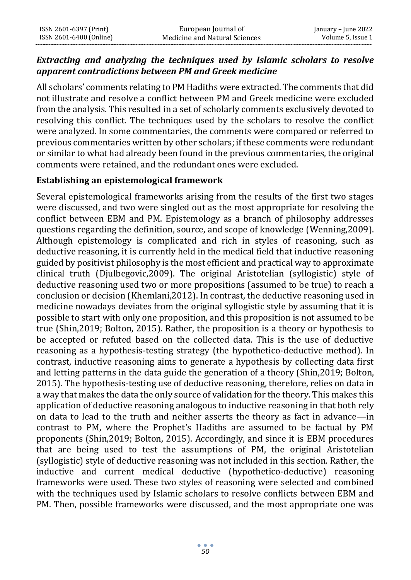# *Extracting and analyzing the techniques used by Islamic scholars to resolve apparent contradictions between PM and Greek medicine*

All scholars' comments relating to PM Hadiths were extracted. The comments that did not illustrate and resolve a conflict between PM and Greek medicine were excluded from the analysis. This resulted in a set of scholarly comments exclusively devoted to resolving this conflict. The techniques used by the scholars to resolve the conflict were analyzed. In some commentaries, the comments were compared or referred to previous commentaries written by other scholars; if these comments were redundant or similar to what had already been found in the previous commentaries, the original comments were retained, and the redundant ones were excluded.

# **Establishing an epistemological framework**

Several epistemological frameworks arising from the results of the first two stages were discussed, and two were singled out as the most appropriate for resolving the conflict between EBM and PM. Epistemology as a branch of philosophy addresses questions regarding the definition, source, and scope of knowledge (Wenning,2009). Although epistemology is complicated and rich in styles of reasoning, such as deductive reasoning, it is currently held in the medical field that inductive reasoning guided by positivist philosophy is the most efficient and practical way to approximate clinical truth (Djulbegovic,2009). The original Aristotelian (syllogistic) style of deductive reasoning used two or more propositions (assumed to be true) to reach a conclusion or decision (Khemlani,2012). In contrast, the deductive reasoning used in medicine nowadays deviates from the original syllogistic style by assuming that it is possible to start with only one proposition, and this proposition is not assumed to be true (Shin,2019; Bolton, 2015). Rather, the proposition is a theory or hypothesis to be accepted or refuted based on the collected data. This is the use of deductive reasoning as a hypothesis-testing strategy (the hypothetico-deductive method). In contrast, inductive reasoning aims to generate a hypothesis by collecting data first and letting patterns in the data guide the generation of a theory (Shin,2019; Bolton, 2015). The hypothesis-testing use of deductive reasoning, therefore, relies on data in a way that makes the data the only source of validation for the theory. This makes this application of deductive reasoning analogous to inductive reasoning in that both rely on data to lead to the truth and neither asserts the theory as fact in advance—in contrast to PM, where the Prophet's Hadiths are assumed to be factual by PM proponents (Shin,2019; Bolton, 2015). Accordingly, and since it is EBM procedures that are being used to test the assumptions of PM, the original Aristotelian (syllogistic) style of deductive reasoning was not included in this section. Rather, the inductive and current medical deductive (hypothetico-deductive) reasoning frameworks were used. These two styles of reasoning were selected and combined with the techniques used by Islamic scholars to resolve conflicts between EBM and PM. Then, possible frameworks were discussed, and the most appropriate one was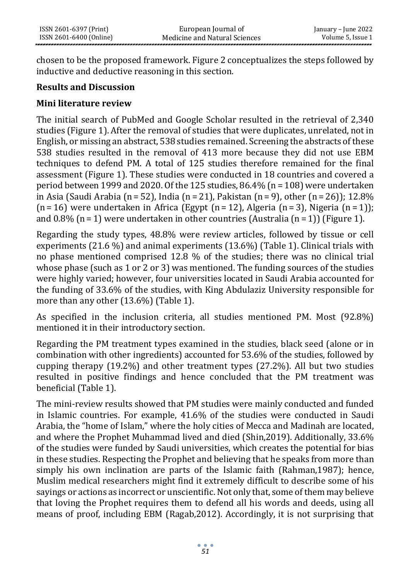chosen to be the proposed framework. Figure 2 conceptualizes the steps followed by inductive and deductive reasoning in this section.

#### **Results and Discussion**

#### **Mini literature review**

The initial search of PubMed and Google Scholar resulted in the retrieval of 2,340 studies (Figure 1). After the removal of studies that were duplicates, unrelated, not in English, or missing an abstract, 538 studies remained. Screening the abstracts of these 538 studies resulted in the removal of 413 more because they did not use EBM techniques to defend PM. A total of 125 studies therefore remained for the final assessment (Figure 1). These studies were conducted in 18 countries and covered a period between 1999 and 2020. Of the 125 studies, 86.4% (n = 108) were undertaken in Asia (Saudi Arabia (n = 52), India (n = 21), Pakistan (n = 9), other (n = 26)); 12.8%  $(n=16)$  were undertaken in Africa (Egypt  $(n=12)$ , Algeria  $(n=3)$ , Nigeria  $(n=1)$ ); and 0.8% (n = 1) were undertaken in other countries (Australia (n = 1)) (Figure 1).

Regarding the study types, 48.8% were review articles, followed by tissue or cell experiments (21.6 %) and animal experiments (13.6%) (Table 1). Clinical trials with no phase mentioned comprised 12.8 % of the studies; there was no clinical trial whose phase (such as 1 or 2 or 3) was mentioned. The funding sources of the studies were highly varied; however, four universities located in Saudi Arabia accounted for the funding of 33.6% of the studies, with King Abdulaziz University responsible for more than any other (13.6%) (Table 1).

As specified in the inclusion criteria, all studies mentioned PM. Most (92.8%) mentioned it in their introductory section.

Regarding the PM treatment types examined in the studies, black seed (alone or in combination with other ingredients) accounted for 53.6% of the studies, followed by cupping therapy (19.2%) and other treatment types (27.2%). All but two studies resulted in positive findings and hence concluded that the PM treatment was beneficial (Table 1).

The mini-review results showed that PM studies were mainly conducted and funded in Islamic countries. For example, 41.6% of the studies were conducted in Saudi Arabia, the "home of Islam," where the holy cities of Mecca and Madinah are located, and where the Prophet Muhammad lived and died (Shin,2019). Additionally, 33.6% of the studies were funded by Saudi universities, which creates the potential for bias in these studies. Respecting the Prophet and believing that he speaks from more than simply his own inclination are parts of the Islamic faith (Rahman,1987); hence, Muslim medical researchers might find it extremely difficult to describe some of his sayings or actions as incorrect or unscientific. Not only that, some of them may believe that loving the Prophet requires them to defend all his words and deeds, using all means of proof, including EBM (Ragab,2012). Accordingly, it is not surprising that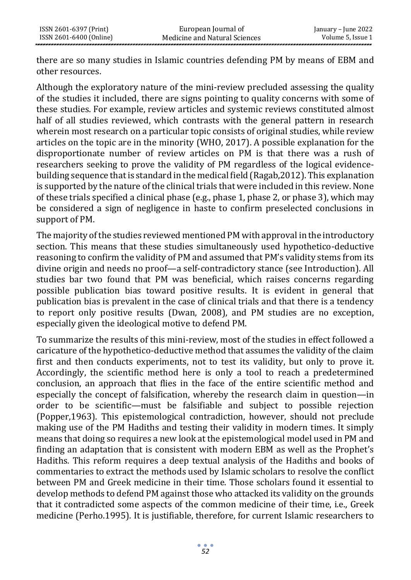there are so many studies in Islamic countries defending PM by means of EBM and other resources.

Although the exploratory nature of the mini-review precluded assessing the quality of the studies it included, there are signs pointing to quality concerns with some of these studies. For example, review articles and systemic reviews constituted almost half of all studies reviewed, which contrasts with the general pattern in research wherein most research on a particular topic consists of original studies, while review articles on the topic are in the minority (WHO, 2017). A possible explanation for the disproportionate number of review articles on PM is that there was a rush of researchers seeking to prove the validity of PM regardless of the logical evidencebuilding sequence that is standard in the medical field (Ragab,2012). This explanation is supported by the nature of the clinical trials that were included in this review. None of these trials specified a clinical phase (e.g., phase 1, phase 2, or phase 3), which may be considered a sign of negligence in haste to confirm preselected conclusions in support of PM.

The majority of the studies reviewed mentioned PM with approval in the introductory section. This means that these studies simultaneously used hypothetico-deductive reasoning to confirm the validity of PM and assumed that PM's validity stems from its divine origin and needs no proof—a self-contradictory stance (see Introduction). All studies bar two found that PM was beneficial, which raises concerns regarding possible publication bias toward positive results. It is evident in general that publication bias is prevalent in the case of clinical trials and that there is a tendency to report only positive results (Dwan, 2008), and PM studies are no exception, especially given the ideological motive to defend PM.

To summarize the results of this mini-review, most of the studies in effect followed a caricature of the hypothetico-deductive method that assumes the validity of the claim first and then conducts experiments, not to test its validity, but only to prove it. Accordingly, the scientific method here is only a tool to reach a predetermined conclusion, an approach that flies in the face of the entire scientific method and especially the concept of falsification, whereby the research claim in question—in order to be scientific—must be falsifiable and subject to possible rejection (Popper,1963). This epistemological contradiction, however, should not preclude making use of the PM Hadiths and testing their validity in modern times. It simply means that doing so requires a new look at the epistemological model used in PM and finding an adaptation that is consistent with modern EBM as well as the Prophet's Hadiths. This reform requires a deep textual analysis of the Hadiths and books of commentaries to extract the methods used by Islamic scholars to resolve the conflict between PM and Greek medicine in their time. Those scholars found it essential to develop methods to defend PM against those who attacked its validity on the grounds that it contradicted some aspects of the common medicine of their time, i.e., Greek medicine (Perho.1995). It is justifiable, therefore, for current Islamic researchers to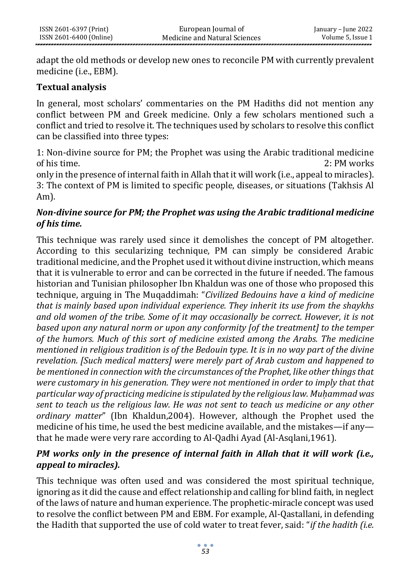adapt the old methods or develop new ones to reconcile PM with currently prevalent medicine (i.e., EBM).

#### **Textual analysis**

In general, most scholars' commentaries on the PM Hadiths did not mention any conflict between PM and Greek medicine. Only a few scholars mentioned such a conflict and tried to resolve it. The techniques used by scholars to resolve this conflict can be classified into three types:

1: Non-divine source for PM; the Prophet was using the Arabic traditional medicine of his time. 2: PM works

only in the presence of internal faith in Allah that it will work (i.e., appeal to miracles). 3: The context of PM is limited to specific people, diseases, or situations (Takhsis Al Am).

# *Non-divine source for PM; the Prophet was using the Arabic traditional medicine of his time.*

This technique was rarely used since it demolishes the concept of PM altogether. According to this secularizing technique, PM can simply be considered Arabic traditional medicine, and the Prophet used it without divine instruction, which means that it is vulnerable to error and can be corrected in the future if needed. The famous historian and Tunisian philosopher Ibn Khaldun was one of those who proposed this technique, arguing in The Muqaddimah: "*Civilized Bedouins have a kind of medicine that is mainly based upon individual experience. They inherit its use from the shaykhs and old women of the tribe. Some of it may occasionally be correct. However, it is not based upon any natural norm or upon any conformity [of the treatment] to the temper of the humors. Much of this sort of medicine existed among the Arabs. The medicine mentioned in religious tradition is of the Bedouin type. It is in no way part of the divine revelation. [Such medical matters] were merely part of Arab custom and happened to be mentioned in connection with the circumstances of the Prophet, like other things that were customary in his generation. They were not mentioned in order to imply that that particular way of practicing medicine is stipulated by the religious law. Muḥammad was sent to teach us the religious law. He was not sent to teach us medicine or any other ordinary matter*" (Ibn Khaldun,2004). However, although the Prophet used the medicine of his time, he used the best medicine available, and the mistakes—if any that he made were very rare according to Al-Qadhi Ayad (Al-Asqlani,1961).

# *PM works only in the presence of internal faith in Allah that it will work (i.e., appeal to miracles).*

This technique was often used and was considered the most spiritual technique, ignoring as it did the cause and effect relationship and calling for blind faith, in neglect of the laws of nature and human experience. The prophetic-miracle concept was used to resolve the conflict between PM and EBM. For example, Al-Qastallani, in defending the Hadith that supported the use of cold water to treat fever, said: "*if the hadith (i.e.*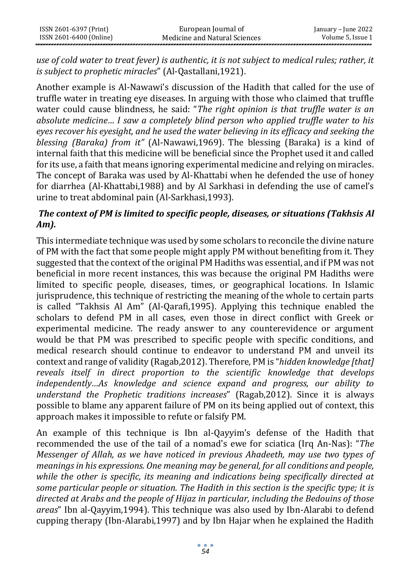*use of cold water to treat fever) is authentic, it is not subject to medical rules; rather, it is subject to prophetic miracles*" (Al-Qastallani,1921).

Another example is Al-Nawawi's discussion of the Hadith that called for the use of truffle water in treating eye diseases. In arguing with those who claimed that truffle water could cause blindness, he said: "*The right opinion is that truffle water is an absolute medicine… I saw a completely blind person who applied truffle water to his eyes recover his eyesight, and he used the water believing in its efficacy and seeking the blessing (Baraka) from it"* (Al-Nawawi,1969). The blessing (Baraka) is a kind of internal faith that this medicine will be beneficial since the Prophet used it and called for its use, a faith that means ignoring experimental medicine and relying on miracles. The concept of Baraka was used by Al-Khattabi when he defended the use of honey for diarrhea (Al-Khattabi,1988) and by Al Sarkhasi in defending the use of camel's urine to treat abdominal pain (Al-Sarkhasi,1993).

# *The context of PM is limited to specific people, diseases, or situations (Takhsis Al Am).*

This intermediate technique was used by some scholars to reconcile the divine nature of PM with the fact that some people might apply PM without benefiting from it. They suggested that the context of the original PM Hadiths was essential, and if PM was not beneficial in more recent instances, this was because the original PM Hadiths were limited to specific people, diseases, times, or geographical locations. In Islamic jurisprudence, this technique of restricting the meaning of the whole to certain parts is called "Takhsis Al Am" (Al-Qarafi,1995). Applying this technique enabled the scholars to defend PM in all cases, even those in direct conflict with Greek or experimental medicine. The ready answer to any counterevidence or argument would be that PM was prescribed to specific people with specific conditions, and medical research should continue to endeavor to understand PM and unveil its context and range of validity (Ragab,2012). Therefore, PM is "*hidden knowledge [that] reveals itself in direct proportion to the scientific knowledge that develops independently…As knowledge and science expand and progress, our ability to understand the Prophetic traditions increases*" (Ragab,2012). Since it is always possible to blame any apparent failure of PM on its being applied out of context, this approach makes it impossible to refute or falsify PM.

An example of this technique is Ibn al-Qayyim's defense of the Hadith that recommended the use of the tail of a nomad's ewe for sciatica (Irq An-Nas): "*The Messenger of Allah, as we have noticed in previous Ahadeeth, may use two types of meanings in his expressions. One meaning may be general, for all conditions and people, while the other is specific, its meaning and indications being specifically directed at some particular people or situation. The Hadith in this section is the specific type; it is directed at Arabs and the people of Hijaz in particular, including the Bedouins of those areas*" Ibn al-Qayyim,1994). This technique was also used by Ibn-Alarabi to defend cupping therapy (Ibn-Alarabi,1997) and by Ibn Hajar when he explained the Hadith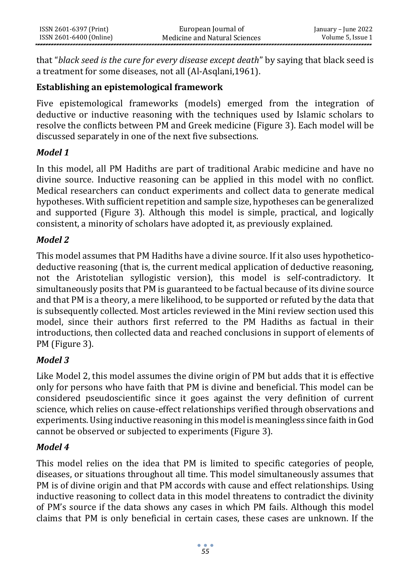that "*black seed is the cure for every disease except death*" by saying that black seed is a treatment for some diseases, not all (Al-Asqlani,1961).

# **Establishing an epistemological framework**

Five epistemological frameworks (models) emerged from the integration of deductive or inductive reasoning with the techniques used by Islamic scholars to resolve the conflicts between PM and Greek medicine (Figure 3). Each model will be discussed separately in one of the next five subsections.

# *Model 1*

In this model, all PM Hadiths are part of traditional Arabic medicine and have no divine source. Inductive reasoning can be applied in this model with no conflict. Medical researchers can conduct experiments and collect data to generate medical hypotheses. With sufficient repetition and sample size, hypotheses can be generalized and supported (Figure 3). Although this model is simple, practical, and logically consistent, a minority of scholars have adopted it, as previously explained.

# *Model 2*

This model assumes that PM Hadiths have a divine source. If it also uses hypotheticodeductive reasoning (that is, the current medical application of deductive reasoning, not the Aristotelian syllogistic version), this model is self-contradictory. It simultaneously posits that PM is guaranteed to be factual because of its divine source and that PM is a theory, a mere likelihood, to be supported or refuted by the data that is subsequently collected. Most articles reviewed in the Mini review section used this model, since their authors first referred to the PM Hadiths as factual in their introductions, then collected data and reached conclusions in support of elements of PM (Figure 3).

# *Model 3*

Like Model 2, this model assumes the divine origin of PM but adds that it is effective only for persons who have faith that PM is divine and beneficial. This model can be considered pseudoscientific since it goes against the very definition of current science, which relies on cause-effect relationships verified through observations and experiments. Using inductive reasoning in this model is meaningless since faith in God cannot be observed or subjected to experiments (Figure 3).

# *Model 4*

This model relies on the idea that PM is limited to specific categories of people, diseases, or situations throughout all time. This model simultaneously assumes that PM is of divine origin and that PM accords with cause and effect relationships. Using inductive reasoning to collect data in this model threatens to contradict the divinity of PM's source if the data shows any cases in which PM fails. Although this model claims that PM is only beneficial in certain cases, these cases are unknown. If the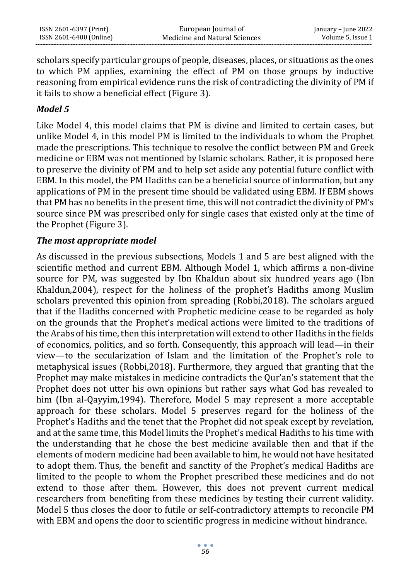| ISSN 2601-6397 (Print)  | European Journal of           | January – June 2022 |
|-------------------------|-------------------------------|---------------------|
| ISSN 2601-6400 (Online) | Medicine and Natural Sciences | Volume 5. Issue 1   |

scholars specify particular groups of people, diseases, places, or situations as the ones to which PM applies, examining the effect of PM on those groups by inductive reasoning from empirical evidence runs the risk of contradicting the divinity of PM if it fails to show a beneficial effect (Figure 3).

#### *Model 5*

Like Model 4, this model claims that PM is divine and limited to certain cases, but unlike Model 4, in this model PM is limited to the individuals to whom the Prophet made the prescriptions. This technique to resolve the conflict between PM and Greek medicine or EBM was not mentioned by Islamic scholars. Rather, it is proposed here to preserve the divinity of PM and to help set aside any potential future conflict with EBM. In this model, the PM Hadiths can be a beneficial source of information, but any applications of PM in the present time should be validated using EBM. If EBM shows that PM has no benefits in the present time, this will not contradict the divinity of PM's source since PM was prescribed only for single cases that existed only at the time of the Prophet (Figure 3).

#### *The most appropriate model*

As discussed in the previous subsections, Models 1 and 5 are best aligned with the scientific method and current EBM. Although Model 1, which affirms a non-divine source for PM, was suggested by Ibn Khaldun about six hundred years ago (Ibn Khaldun,2004), respect for the holiness of the prophet's Hadiths among Muslim scholars prevented this opinion from spreading (Robbi,2018). The scholars argued that if the Hadiths concerned with Prophetic medicine cease to be regarded as holy on the grounds that the Prophet's medical actions were limited to the traditions of the Arabs of his time, then this interpretation will extend to other Hadiths in the fields of economics, politics, and so forth. Consequently, this approach will lead—in their view—to the secularization of Islam and the limitation of the Prophet's role to metaphysical issues (Robbi,2018). Furthermore, they argued that granting that the Prophet may make mistakes in medicine contradicts the Qur'an's statement that the Prophet does not utter his own opinions but rather says what God has revealed to him (Ibn al-Qayyim,1994). Therefore, Model 5 may represent a more acceptable approach for these scholars. Model 5 preserves regard for the holiness of the Prophet's Hadiths and the tenet that the Prophet did not speak except by revelation, and at the same time, this Model limits the Prophet's medical Hadiths to his time with the understanding that he chose the best medicine available then and that if the elements of modern medicine had been available to him, he would not have hesitated to adopt them. Thus, the benefit and sanctity of the Prophet's medical Hadiths are limited to the people to whom the Prophet prescribed these medicines and do not extend to those after them. However, this does not prevent current medical researchers from benefiting from these medicines by testing their current validity. Model 5 thus closes the door to futile or self-contradictory attempts to reconcile PM with EBM and opens the door to scientific progress in medicine without hindrance.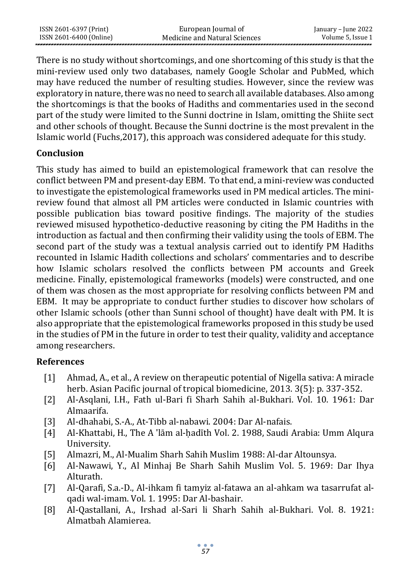| ISSN 2601-6397 (Print)  | European Journal of           | January – June 2022 |
|-------------------------|-------------------------------|---------------------|
| ISSN 2601-6400 (Online) | Medicine and Natural Sciences | Volume 5. Issue 1   |

There is no study without shortcomings, and one shortcoming of this study is that the mini-review used only two databases, namely Google Scholar and PubMed, which may have reduced the number of resulting studies. However, since the review was exploratory in nature, there was no need to search all available databases. Also among the shortcomings is that the books of Hadiths and commentaries used in the second part of the study were limited to the Sunni doctrine in Islam, omitting the Shiite sect and other schools of thought. Because the Sunni doctrine is the most prevalent in the Islamic world (Fuchs,2017), this approach was considered adequate for this study.

#### **Conclusion**

This study has aimed to build an epistemological framework that can resolve the conflict between PM and present-day EBM. To that end, a mini-review was conducted to investigate the epistemological frameworks used in PM medical articles. The minireview found that almost all PM articles were conducted in Islamic countries with possible publication bias toward positive findings. The majority of the studies reviewed misused hypothetico-deductive reasoning by citing the PM Hadiths in the introduction as factual and then confirming their validity using the tools of EBM. The second part of the study was a textual analysis carried out to identify PM Hadiths recounted in Islamic Hadith collections and scholars' commentaries and to describe how Islamic scholars resolved the conflicts between PM accounts and Greek medicine. Finally, epistemological frameworks (models) were constructed, and one of them was chosen as the most appropriate for resolving conflicts between PM and EBM. It may be appropriate to conduct further studies to discover how scholars of other Islamic schools (other than Sunni school of thought) have dealt with PM. It is also appropriate that the epistemological frameworks proposed in this study be used in the studies of PM in the future in order to test their quality, validity and acceptance among researchers.

#### **References**

- [1] Ahmad, A., et al., A review on therapeutic potential of Nigella sativa: A miracle herb. Asian Pacific journal of tropical biomedicine, 2013. 3(5): p. 337-352.
- [2] Al-Asqlani, I.H., Fath ul-Bari fi Sharh Sahih al-Bukhari. Vol. 10. 1961: Dar Almaarifa.
- [3] Al-dhahabi, S.-A., At-Tibb al-nabawi. 2004: Dar Al-nafais.
- [4] Al-Khattabi, H., The A 'lām al-ḥadīth Vol. 2. 1988, Saudi Arabia: Umm Alqura University.
- [5] Almazri, M., Al-Mualim Sharh Sahih Muslim 1988: Al-dar Altounsya.
- [6] Al-Nawawi, Y., Al Minhaj Be Sharh Sahih Muslim Vol. 5. 1969: Dar Ihya Alturath.
- [7] Al-Qarafi, S.a.-D., Al-ihkam fi tamyiz al-fatawa an al-ahkam wa tasarrufat alqadi wal-imam. Vol. 1. 1995: Dar Al-bashair.
- [8] Al-Qastallani, A., Irshad al-Sari li Sharh Sahih al-Bukhari. Vol. 8. 1921: Almatbah Alamierea.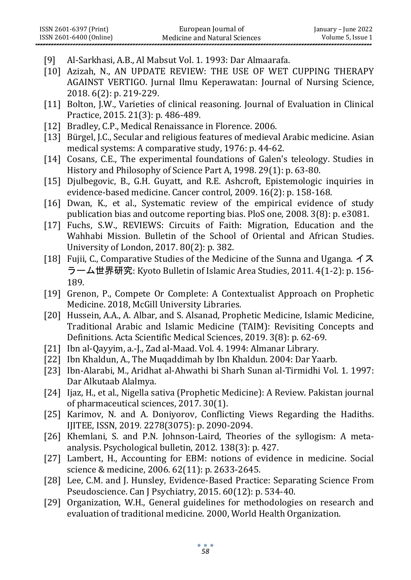- [9] Al-Sarkhasi, A.B., Al Mabsut Vol. 1. 1993: Dar Almaarafa.
- [10] Azizah, N., AN UPDATE REVIEW: THE USE OF WET CUPPING THERAPY AGAINST VERTIGO. Jurnal Ilmu Keperawatan: Journal of Nursing Science, 2018. 6(2): p. 219-229.
- [11] Bolton, J.W., Varieties of clinical reasoning. Journal of Evaluation in Clinical Practice, 2015. 21(3): p. 486-489.
- [12] Bradley, C.P., Medical Renaissance in Florence. 2006.
- [13] Bürgel, J.C., Secular and religious features of medieval Arabic medicine. Asian medical systems: A comparative study, 1976: p. 44-62.
- [14] Cosans, C.E., The experimental foundations of Galen's teleology. Studies in History and Philosophy of Science Part A, 1998. 29(1): p. 63-80.
- [15] Djulbegovic, B., G.H. Guyatt, and R.E. Ashcroft, Epistemologic inquiries in evidence-based medicine. Cancer control, 2009. 16(2): p. 158-168.
- [16] Dwan, K., et al., Systematic review of the empirical evidence of study publication bias and outcome reporting bias. PloS one, 2008. 3(8): p. e3081.
- [17] Fuchs, S.W., REVIEWS: Circuits of Faith: Migration, Education and the Wahhabi Mission. Bulletin of the School of Oriental and African Studies. University of London, 2017. 80(2): p. 382.
- [18] Fujii, C., Comparative Studies of the Medicine of the Sunna and Uganga. イス ラーム世界研究: Kyoto Bulletin of Islamic Area Studies, 2011. 4(1-2): p. 156- 189.
- [19] Grenon, P., Compete Or Complete: A Contextualist Approach on Prophetic Medicine. 2018, McGill University Libraries.
- [20] Hussein, A.A., A. Albar, and S. Alsanad, Prophetic Medicine, Islamic Medicine, Traditional Arabic and Islamic Medicine (TAIM): Revisiting Concepts and Definitions. Acta Scientific Medical Sciences, 2019. 3(8): p. 62-69.
- [21] Ibn al-Qayyim, a.-J., Zad al-Maad. Vol. 4. 1994: Almanar Library.
- [22] Ibn Khaldun, A., The Muqaddimah by Ibn Khaldun. 2004: Dar Yaarb.
- [23] Ibn-Alarabi, M., Aridhat al-Ahwathi bi Sharh Sunan al-Tirmidhi Vol. 1. 1997: Dar Alkutaab Alalmya.
- [24] Ijaz, H., et al., Nigella sativa (Prophetic Medicine): A Review. Pakistan journal of pharmaceutical sciences, 2017. 30(1).
- [25] Karimov, N. and A. Doniyorov, Conflicting Views Regarding the Hadiths. IJITEE, ISSN, 2019. 2278(3075): p. 2090-2094.
- [26] Khemlani, S. and P.N. Johnson-Laird, Theories of the syllogism: A metaanalysis. Psychological bulletin, 2012. 138(3): p. 427.
- [27] Lambert, H., Accounting for EBM: notions of evidence in medicine. Social science & medicine, 2006. 62(11): p. 2633-2645.
- [28] Lee, C.M. and J. Hunsley, Evidence-Based Practice: Separating Science From Pseudoscience. Can J Psychiatry, 2015. 60(12): p. 534-40.
- [29] Organization, W.H., General guidelines for methodologies on research and evaluation of traditional medicine. 2000, World Health Organization.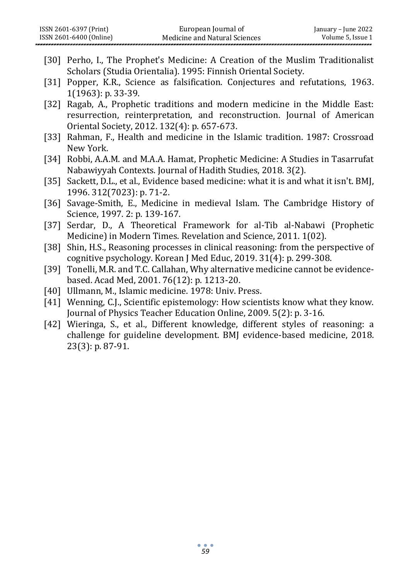|                    | European Journal of<br>ISSN 2601-6397 (Print)<br>ISSN 2601-6400 (Online)<br>Medicine and Natural Sciences                                                                                         | January - June 2022<br>Volume 5, Issue 1 |
|--------------------|---------------------------------------------------------------------------------------------------------------------------------------------------------------------------------------------------|------------------------------------------|
|                    | [30] Perho, I., The Prophet's Medicine: A Creation of the Muslim Traditionalist<br>Scholars (Studia Orientalia). 1995: Finnish Oriental Society.                                                  |                                          |
|                    | [31] Popper, K.R., Science as falsification. Conjectures and refutations, 1963.<br>1(1963): p. 33-39.                                                                                             |                                          |
| $[32]$             | Ragab, A., Prophetic traditions and modern medicine in the Middle East:<br>resurrection, reinterpretation, and reconstruction. Journal of American<br>Oriental Society, 2012. 132(4): p. 657-673. |                                          |
| $\left[33\right]$  | Rahman, F., Health and medicine in the Islamic tradition. 1987: Crossroad<br>New York.                                                                                                            |                                          |
| $\lceil 34 \rceil$ | Robbi, A.A.M. and M.A.A. Hamat, Prophetic Medicine: A Studies in Tasarrufat<br>Nabawiyyah Contexts. Journal of Hadith Studies, 2018. 3(2).                                                        |                                          |
| $[35]$             | Sackett, D.L., et al., Evidence based medicine: what it is and what it isn't. BMJ,<br>1996. 312(7023): p. 71-2.                                                                                   |                                          |
| $\lceil 36 \rceil$ | Savage-Smith, E., Medicine in medieval Islam. The Cambridge History of<br>Science, 1997. 2: p. 139-167.                                                                                           |                                          |
| $[37]$             | Serdar, D., A Theoretical Framework for al-Tib al-Nabawi (Prophetic<br>Medicine) in Modern Times. Revelation and Science, 2011. 1(02).                                                            |                                          |
| $[38]$             | Shin, H.S., Reasoning processes in clinical reasoning: from the perspective of<br>cognitive psychology. Korean J Med Educ, 2019. 31(4): p. 299-308.                                               |                                          |
| $[39]$             | Tonelli, M.R. and T.C. Callahan, Why alternative medicine cannot be evidence-<br>based. Acad Med, 2001. 76(12): p. 1213-20.                                                                       |                                          |
| [40]               | Ullmann, M., Islamic medicine. 1978: Univ. Press.                                                                                                                                                 |                                          |
| [41]               | Wenning, C.J., Scientific epistemology: How scientists know what they know.<br>Journal of Physics Teacher Education Online, 2009. 5(2): p. 3-16.                                                  |                                          |
|                    | [42] Wieringa, S., et al., Different knowledge, different styles of reasoning: a<br>challenge for guideline development. BMJ evidence-based medicine, 2018.<br>23(3): p. 87-91.                   |                                          |
|                    |                                                                                                                                                                                                   |                                          |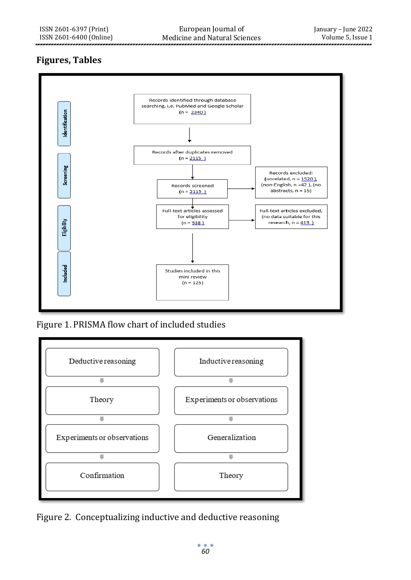# **Figures, Tables**



Figure 1. PRISMA flow chart of included studies



Figure 2. Conceptualizing inductive and deductive reasoning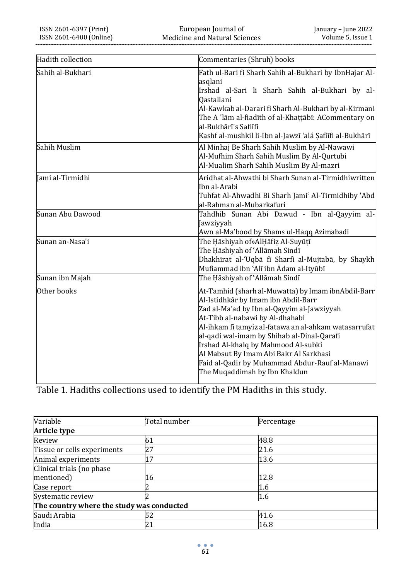European Journal of Medicine and Natural Sciences

| Hadith collection | Commentaries (Shruh) books                                                                                                                                                                                                                                                                                                                                                                                                                            |
|-------------------|-------------------------------------------------------------------------------------------------------------------------------------------------------------------------------------------------------------------------------------------------------------------------------------------------------------------------------------------------------------------------------------------------------------------------------------------------------|
| Sahih al-Bukhari  | Fath ul-Bari fi Sharh Sahih al-Bukhari by IbnHajar Al-<br>asglani<br>Irshad al-Sari li Sharh Sahih al-Bukhari by al-<br><b>Oastallani</b><br>Al-Kawkab al-Darari fi Sharh Al-Bukhari by al-Kirmani<br>The A 'lām al-fiadīth of al-Khaṭṭābī: ACommentary on<br>al-Bukhārī's Safiīfi<br>Kashf al-mushkil li-Ibn al-Jawzī 'alá Şafiīfi al-Bukhārī                                                                                                        |
| Sahih Muslim      | Al Minhaj Be Sharh Sahih Muslim by Al-Nawawi<br>Al-Mufhim Sharh Sahih Muslim By Al-Qurtubi<br>Al-Mualim Sharh Sahih Muslim By Al-mazri                                                                                                                                                                                                                                                                                                                |
| Jami al-Tirmidhi  | Aridhat al-Ahwathi bi Sharh Sunan al-Tirmidhiwritten<br>Ibn al-Arabi<br>Tuhfat Al-Ahwadhi Bi Sharh Jami' Al-Tirmidhiby 'Abd<br>al-Rahman al-Mubarkafuri                                                                                                                                                                                                                                                                                               |
| Sunan Abu Dawood  | Tahdhib Sunan Abi Dawud - Ibn al-Qayyim al-<br>Jawziyyah<br>Awn al-Ma'bood by Shams ul-Haqq Azimabadi                                                                                                                                                                                                                                                                                                                                                 |
| Sunan an-Nasa'i   | The Hāshiyah of»AlHāfiz Al-Suyūțī<br>The Hāshiyah of 'Allāmah Sindī<br>Dhakhīrat al-'Uqbā fī Sharfi al-Mujtabā, by Shaykh<br>Mufiammad ibn 'Alī ibn Ādam al-Ityūbī                                                                                                                                                                                                                                                                                    |
| Sunan ibn Majah   | The Hāshiyah of ʿAllāmah Sindī                                                                                                                                                                                                                                                                                                                                                                                                                        |
| Other books       | At-Tamhid (sharh al-Muwatta) by Imam ibnAbdil-Barr<br>Al-Istidhkâr by Imam ibn Abdil-Barr<br>Zad al-Ma'ad by Ibn al-Qayyim al-Jawziyyah<br>At-Tibb al-nabawi by Al-dhahabi<br>Al-ihkam fi tamyiz al-fatawa an al-ahkam watasarrufat<br>al-qadi wal-imam by Shihab al-Dinal-Qarafi<br>Irshad Al-khalq by Mahmood Al-subki<br>Al Mabsut By Imam Abi Bakr Al Sarkhasi<br>Faid al-Qadir by Muhammad Abdur-Rauf al-Manawi<br>The Muqaddimah by Ibn Khaldun |

Table 1. Hadiths collections used to identify the PM Hadiths in this study.

| Variable                                  | Total number | Percentage |  |
|-------------------------------------------|--------------|------------|--|
| Article type                              |              |            |  |
| Review                                    | 61           | 48.8       |  |
| Tissue or cells experiments               | 27           | 21.6       |  |
| Animal experiments                        | 17           | 13.6       |  |
| Clinical trials (no phase                 |              |            |  |
| mentioned)                                | 16           | 12.8       |  |
| Case report                               |              | 1.6        |  |
| Systematic review                         |              | 1.6        |  |
| The country where the study was conducted |              |            |  |
| Saudi Arabia                              | 52           | 41.6       |  |
| India                                     | 21           | 16.8       |  |